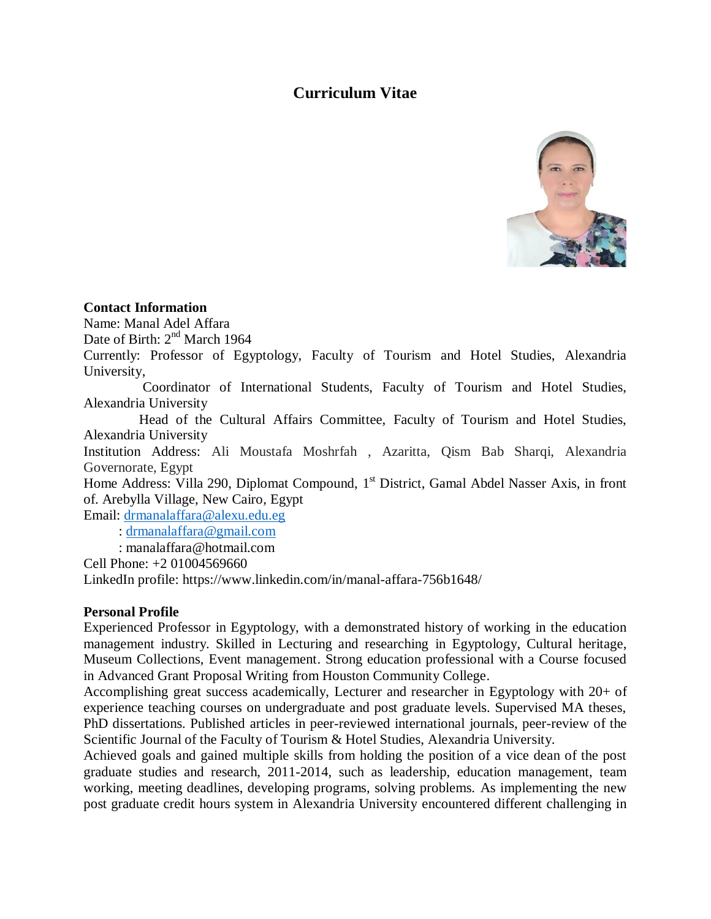# **Curriculum Vitae**



#### **Contact Information**

Name: Manal Adel Affara

Date of Birth: 2<sup>nd</sup> March 1964

Currently: Professor of Egyptology, Faculty of Tourism and Hotel Studies, Alexandria University,

 Coordinator of International Students, Faculty of Tourism and Hotel Studies, Alexandria University

 Head of the Cultural Affairs Committee, Faculty of Tourism and Hotel Studies, Alexandria University

Institution Address: Ali Moustafa Moshrfah , Azaritta, Qism Bab Sharqi, Alexandria Governorate, Egypt

Home Address: Villa 290, Diplomat Compound, 1<sup>st</sup> District, Gamal Abdel Nasser Axis, in front of. Arebylla Village, New Cairo, Egypt

Email: [drmanalaffara@alexu.edu.eg](mailto:drmanalaffara@alexu.edu.eg) : [drmanalaffara@gmail.com](mailto:drmanalaffara@gmail.com) : manalaffara@hotmail.com

Cell Phone: +2 01004569660

LinkedIn profile: https://www.linkedin.com/in/manal-affara-756b1648/

# **Personal Profile**

Experienced Professor in Egyptology, with a demonstrated history of working in the education management industry. Skilled in Lecturing and researching in Egyptology, Cultural heritage, Museum Collections, Event management. Strong education professional with a Course focused in Advanced Grant Proposal Writing from Houston Community College.

Accomplishing great success academically, Lecturer and researcher in Egyptology with 20+ of experience teaching courses on undergraduate and post graduate levels. Supervised MA theses, PhD dissertations. Published articles in peer-reviewed international journals, peer-review of the Scientific Journal of the Faculty of Tourism & Hotel Studies, Alexandria University.

Achieved goals and gained multiple skills from holding the position of a vice dean of the post graduate studies and research, 2011-2014, such as leadership, education management, team working, meeting deadlines, developing programs, solving problems. As implementing the new post graduate credit hours system in Alexandria University encountered different challenging in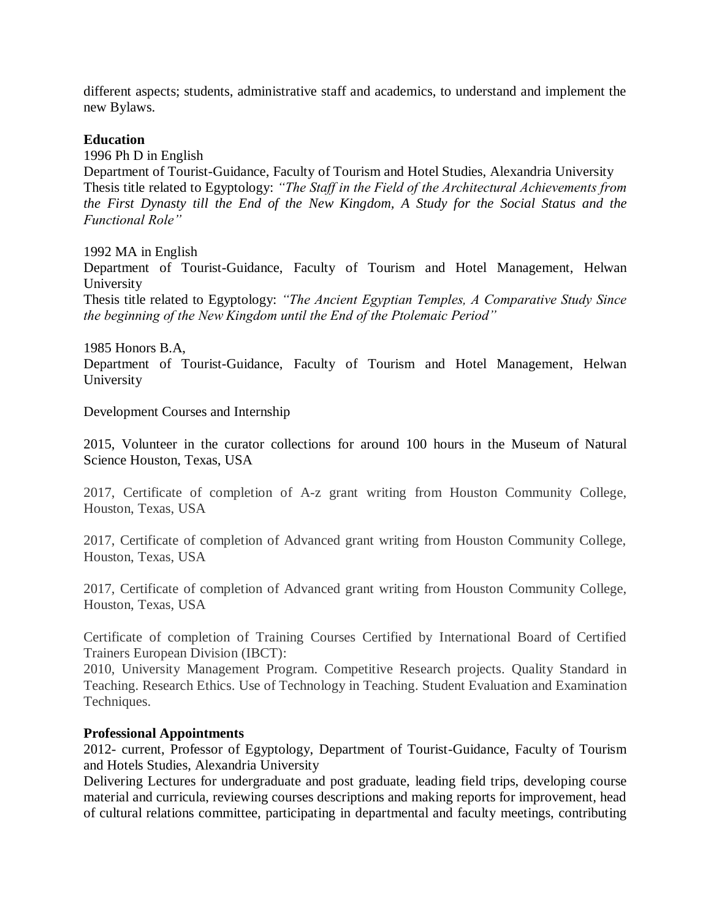different aspects; students, administrative staff and academics, to understand and implement the new Bylaws.

# **Education**

1996 Ph D in English

Department of Tourist-Guidance, Faculty of Tourism and Hotel Studies, Alexandria University Thesis title related to Egyptology: *"The Staff in the Field of the Architectural Achievements from the First Dynasty till the End of the New Kingdom, A Study for the Social Status and the Functional Role"* 

1992 MA in English

Department of Tourist-Guidance, Faculty of Tourism and Hotel Management, Helwan University

Thesis title related to Egyptology: *"The Ancient Egyptian Temples, A Comparative Study Since the beginning of the New Kingdom until the End of the Ptolemaic Period"*

1985 Honors B.A,

Department of Tourist-Guidance, Faculty of Tourism and Hotel Management, Helwan University

Development Courses and Internship

2015, Volunteer in the curator collections for around 100 hours in the Museum of Natural Science Houston, Texas, USA

2017, Certificate of completion of A-z grant writing from Houston Community College, Houston, Texas, USA

2017, Certificate of completion of Advanced grant writing from Houston Community College, Houston, Texas, USA

2017, Certificate of completion of Advanced grant writing from Houston Community College, Houston, Texas, USA

Certificate of completion of Training Courses Certified by International Board of Certified Trainers European Division (IBCT):

2010, University Management Program. Competitive Research projects. Quality Standard in Teaching. Research Ethics. Use of Technology in Teaching. Student Evaluation and Examination Techniques.

#### **Professional Appointments**

2012- current, Professor of Egyptology, Department of Tourist-Guidance, Faculty of Tourism and Hotels Studies, Alexandria University

Delivering Lectures for undergraduate and post graduate, leading field trips, developing course material and curricula, reviewing courses descriptions and making reports for improvement, head of cultural relations committee, participating in departmental and faculty meetings, contributing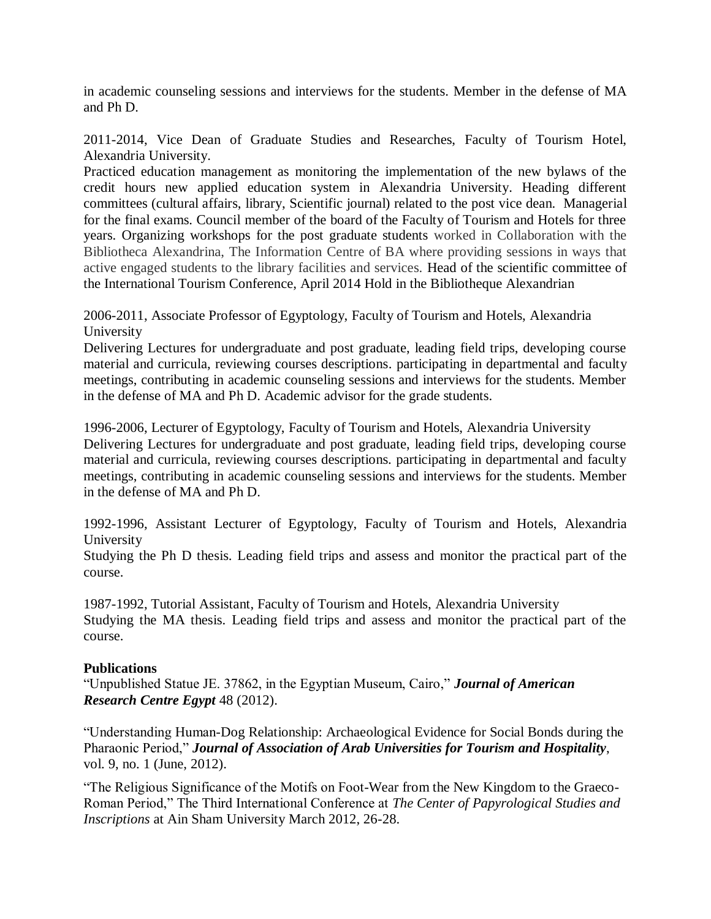in academic counseling sessions and interviews for the students. Member in the defense of MA and Ph D.

2011-2014, Vice Dean of Graduate Studies and Researches, Faculty of Tourism Hotel, Alexandria University.

Practiced education management as monitoring the implementation of the new bylaws of the credit hours new applied education system in Alexandria University. Heading different committees (cultural affairs, library, Scientific journal) related to the post vice dean. Managerial for the final exams. Council member of the board of the Faculty of Tourism and Hotels for three years. Organizing workshops for the post graduate students worked in Collaboration with the Bibliotheca Alexandrina, The Information Centre of BA where providing sessions in ways that active engaged students to the library facilities and services. Head of the scientific committee of the International Tourism Conference, April 2014 Hold in the Bibliotheque Alexandrian

2006-2011, Associate Professor of Egyptology, Faculty of Tourism and Hotels, Alexandria University

Delivering Lectures for undergraduate and post graduate, leading field trips, developing course material and curricula, reviewing courses descriptions. participating in departmental and faculty meetings, contributing in academic counseling sessions and interviews for the students. Member in the defense of MA and Ph D. Academic advisor for the grade students.

1996-2006, Lecturer of Egyptology, Faculty of Tourism and Hotels, Alexandria University Delivering Lectures for undergraduate and post graduate, leading field trips, developing course material and curricula, reviewing courses descriptions. participating in departmental and faculty meetings, contributing in academic counseling sessions and interviews for the students. Member in the defense of MA and Ph D.

1992-1996, Assistant Lecturer of Egyptology, Faculty of Tourism and Hotels, Alexandria University

Studying the Ph D thesis. Leading field trips and assess and monitor the practical part of the course.

1987-1992, Tutorial Assistant, Faculty of Tourism and Hotels, Alexandria University Studying the MA thesis. Leading field trips and assess and monitor the practical part of the course.

# **Publications**

"Unpublished Statue JE. 37862, in the Egyptian Museum, Cairo," *Journal of American Research Centre Egypt* 48 (2012).

"Understanding Human-Dog Relationship: Archaeological Evidence for Social Bonds during the Pharaonic Period," *Journal of Association of Arab Universities for Tourism and Hospitality*, vol. 9, no. 1 (June, 2012).

"The Religious Significance of the Motifs on Foot-Wear from the New Kingdom to the Graeco-Roman Period," The Third International Conference at *The Center of Papyrological Studies and Inscriptions* at Ain Sham University March 2012, 26-28.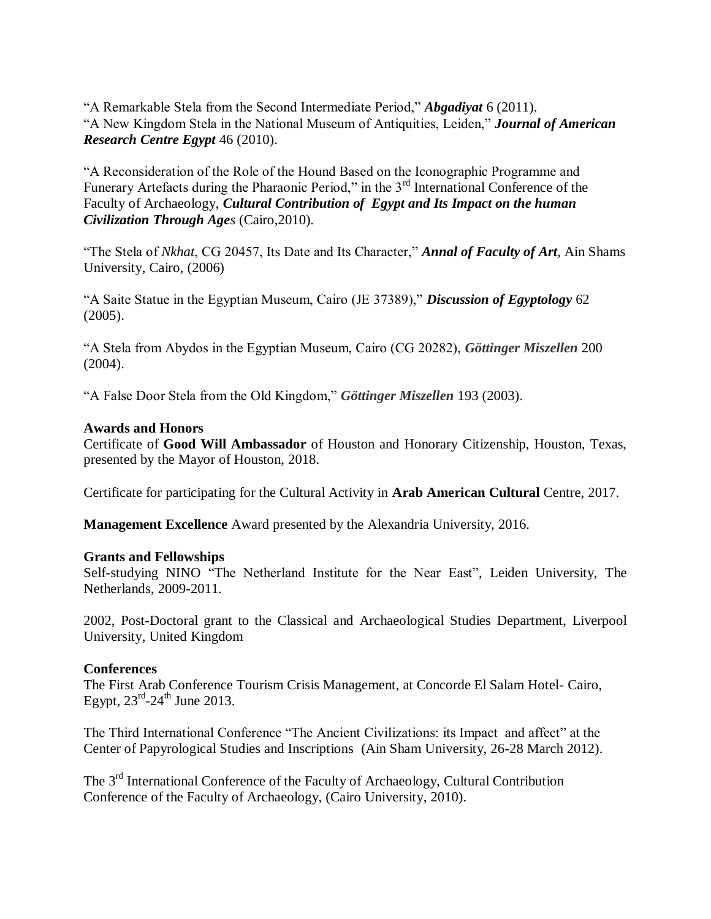"A Remarkable Stela from the Second Intermediate Period," *Abgadiyat* 6 (2011). "A New Kingdom Stela in the National Museum of Antiquities, Leiden," *Journal of American Research Centre Egypt* 46 (2010).

"A Reconsideration of the Role of the Hound Based on the Iconographic Programme and Funerary Artefacts during the Pharaonic Period," in the 3<sup>rd</sup> International Conference of the Faculty of Archaeology, *Cultural Contribution of Egypt and Its Impact on the human Civilization Through Ages* (Cairo,2010).

"The Stela of *Nkhat*, CG 20457, Its Date and Its Character," *Annal of Faculty of Art*, Ain Shams University, Cairo, (2006)

"A Saite Statue in the Egyptian Museum, Cairo (JE 37389)," *Discussion of Egyptology* 62 (2005).

"A Stela from Abydos in the Egyptian Museum, Cairo (CG 20282), *Göttinger Miszellen* 200 (2004).

"A False Door Stela from the Old Kingdom," *Göttinger Miszellen* 193 (2003).

#### **Awards and Honors**

Certificate of **Good Will Ambassador** of Houston and Honorary Citizenship, Houston, Texas, presented by the Mayor of Houston, 2018.

Certificate for participating for the Cultural Activity in **Arab American Cultural** Centre, 2017.

**Management Excellence** Award presented by the Alexandria University, 2016.

#### **Grants and Fellowships**

Self-studying NINO "The Netherland Institute for the Near East", Leiden University, The Netherlands, 2009-2011.

2002, Post-Doctoral grant to the Classical and Archaeological Studies Department, Liverpool University, United Kingdom

# **Conferences**

The First Arab Conference Tourism Crisis Management, at Concorde El Salam Hotel- Cairo, Egypt,  $23^{\text{rd}} - 24^{\text{th}}$  June 2013.

The Third International Conference "The Ancient Civilizations: its Impact and affect" at the Center of Papyrological Studies and Inscriptions (Ain Sham University, 26-28 March 2012).

The 3<sup>rd</sup> International Conference of the Faculty of Archaeology, Cultural Contribution Conference of the Faculty of Archaeology, (Cairo University, 2010).